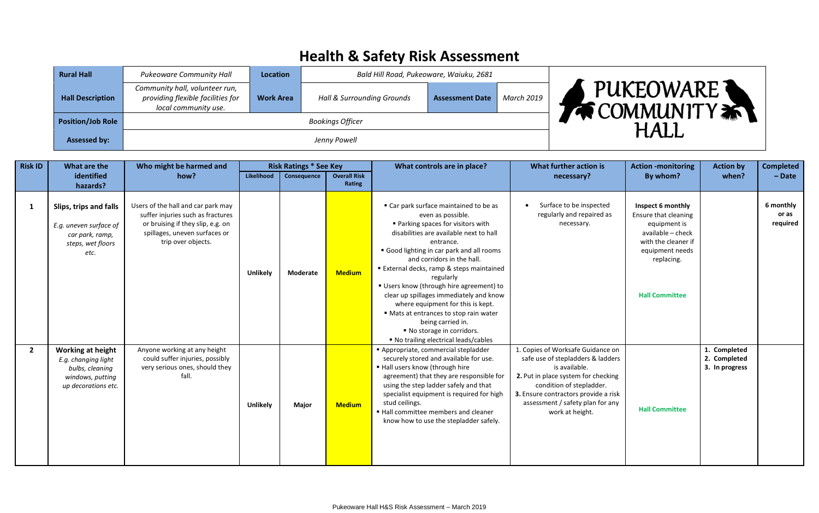## **Health & Safety Risk Assessment**

| <b>Rural Hall</b>        | <b>Pukeoware Community Hall</b>                                                             | <b>Location</b>  | Bald Hill Road, Pukeoware, Waiuku, 2681 |                        |            |                                                   |
|--------------------------|---------------------------------------------------------------------------------------------|------------------|-----------------------------------------|------------------------|------------|---------------------------------------------------|
| <b>Hall Description</b>  | Community hall, volunteer run,<br>providing flexible facilities for<br>local community use. | <b>Work Area</b> | Hall & Surrounding Grounds              | <b>Assessment Date</b> | March 2019 | PUKEOWARE <sup>1</sup><br><b>WE COMMUNITY AND</b> |
| <b>Position/Job Role</b> |                                                                                             |                  |                                         | <b>HALI</b>            |            |                                                   |
| <b>Assessed by:</b>      |                                                                                             |                  | Jenny Powell                            |                        |            |                                                   |

| <b>Risk ID</b> | What are the                                                                                                  | Who might be harmed and                                                                                                                                             |                 | <b>Risk Ratings * See Key</b> |                               | What controls are in place?                                                                                                                                                                                                                                                                                                                                                                                                                                                                                                                              | What further action is                                                                                                                                                                                                                                    | <b>Action -monitoring</b>                                                                                                                                       | <b>Action by</b>                               | <b>Completed</b>               |
|----------------|---------------------------------------------------------------------------------------------------------------|---------------------------------------------------------------------------------------------------------------------------------------------------------------------|-----------------|-------------------------------|-------------------------------|----------------------------------------------------------------------------------------------------------------------------------------------------------------------------------------------------------------------------------------------------------------------------------------------------------------------------------------------------------------------------------------------------------------------------------------------------------------------------------------------------------------------------------------------------------|-----------------------------------------------------------------------------------------------------------------------------------------------------------------------------------------------------------------------------------------------------------|-----------------------------------------------------------------------------------------------------------------------------------------------------------------|------------------------------------------------|--------------------------------|
|                | identified                                                                                                    | how?                                                                                                                                                                | Likelihood      | Consequence                   | <b>Overall Risk</b><br>Rating |                                                                                                                                                                                                                                                                                                                                                                                                                                                                                                                                                          | necessary?                                                                                                                                                                                                                                                | By whom?                                                                                                                                                        | when?                                          | $-$ Date                       |
|                | hazards?                                                                                                      |                                                                                                                                                                     |                 |                               |                               |                                                                                                                                                                                                                                                                                                                                                                                                                                                                                                                                                          |                                                                                                                                                                                                                                                           |                                                                                                                                                                 |                                                |                                |
| -1             | Slips, trips and falls<br>E.g. uneven surface of<br>car park, ramp,<br>steps, wet floors<br>etc.              | Users of the hall and car park may<br>suffer injuries such as fractures<br>or bruising if they slip, e.g. on<br>spillages, uneven surfaces or<br>trip over objects. | <b>Unlikely</b> | Moderate                      | <b>Medium</b>                 | ■ Car park surface maintained to be as<br>even as possible.<br>■ Parking spaces for visitors with<br>disabilities are available next to hall<br>entrance.<br>Good lighting in car park and all rooms<br>and corridors in the hall.<br>External decks, ramp & steps maintained<br>regularly<br>Users know (through hire agreement) to<br>clear up spillages immediately and know<br>where equipment for this is kept.<br>Mats at entrances to stop rain water<br>being carried in.<br>■ No storage in corridors.<br>■ No trailing electrical leads/cables | Surface to be inspected<br>$\bullet$<br>regularly and repaired as<br>necessary.                                                                                                                                                                           | Inspect 6 monthly<br>Ensure that cleaning<br>equipment is<br>available - check<br>with the cleaner if<br>equipment needs<br>replacing.<br><b>Hall Committee</b> |                                                | 6 monthly<br>or as<br>required |
| $\overline{2}$ | <b>Working at height</b><br>E.g. changing light<br>bulbs, cleaning<br>windows, putting<br>up decorations etc. | Anyone working at any height<br>could suffer injuries, possibly<br>very serious ones, should they<br>fall.                                                          | <b>Unlikely</b> | Major                         | <b>Medium</b>                 | Appropriate, commercial stepladder<br>securely stored and available for use.<br>" Hall users know (through hire<br>agreement) that they are responsible for<br>using the step ladder safely and that<br>specialist equipment is required for high<br>stud ceilings.<br>■ Hall committee members and cleaner<br>know how to use the stepladder safely.                                                                                                                                                                                                    | 1. Copies of Worksafe Guidance on<br>safe use of stepladders & ladders<br>is available.<br>2. Put in place system for checking<br>condition of stepladder.<br>3. Ensure contractors provide a risk<br>assessment / safety plan for any<br>work at height. | <b>Hall Committee</b>                                                                                                                                           | 1. Completed<br>2. Completed<br>3. In progress |                                |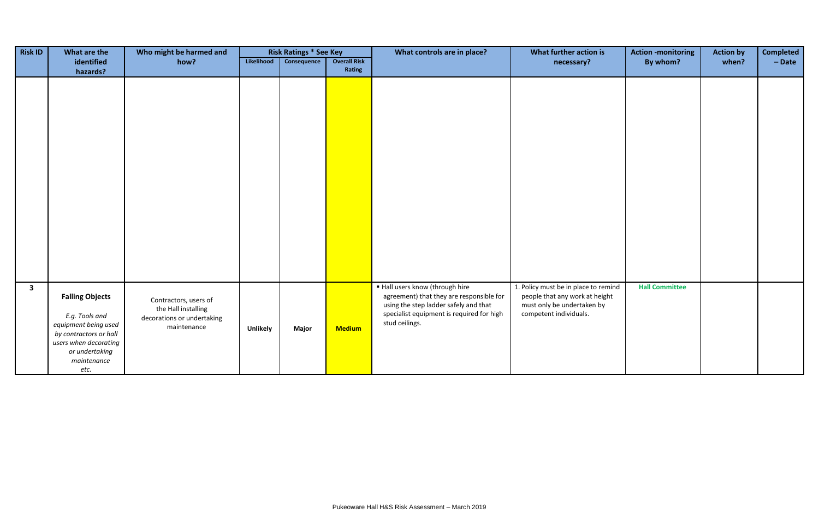| <b>Risk ID</b>          | What are the                                                                                                                                                 | Who might be harmed and                                                                   |                 | <b>Risk Ratings * See Key</b> |                               | What controls are in place?                                                                                                                                                         | What further action is                                                                                                         | <b>Action -monitoring</b> | <b>Action by</b> | <b>Completed</b> |
|-------------------------|--------------------------------------------------------------------------------------------------------------------------------------------------------------|-------------------------------------------------------------------------------------------|-----------------|-------------------------------|-------------------------------|-------------------------------------------------------------------------------------------------------------------------------------------------------------------------------------|--------------------------------------------------------------------------------------------------------------------------------|---------------------------|------------------|------------------|
|                         | identified<br>hazards?                                                                                                                                       | how?                                                                                      | Likelihood      | Consequence                   | <b>Overall Risk</b><br>Rating |                                                                                                                                                                                     | necessary?                                                                                                                     | By whom?                  | when?            | $-$ Date         |
|                         |                                                                                                                                                              |                                                                                           |                 |                               |                               |                                                                                                                                                                                     |                                                                                                                                |                           |                  |                  |
| $\overline{\mathbf{3}}$ | <b>Falling Objects</b><br>E.g. Tools and<br>equipment being used<br>by contractors or hall<br>users when decorating<br>or undertaking<br>maintenance<br>etc. | Contractors, users of<br>the Hall installing<br>decorations or undertaking<br>maintenance | <b>Unlikely</b> | Major                         | <b>Medium</b>                 | ■ Hall users know (through hire<br>agreement) that they are responsible for<br>using the step ladder safely and that<br>specialist equipment is required for high<br>stud ceilings. | 1. Policy must be in place to remind<br>people that any work at height<br>must only be undertaken by<br>competent individuals. | <b>Hall Committee</b>     |                  |                  |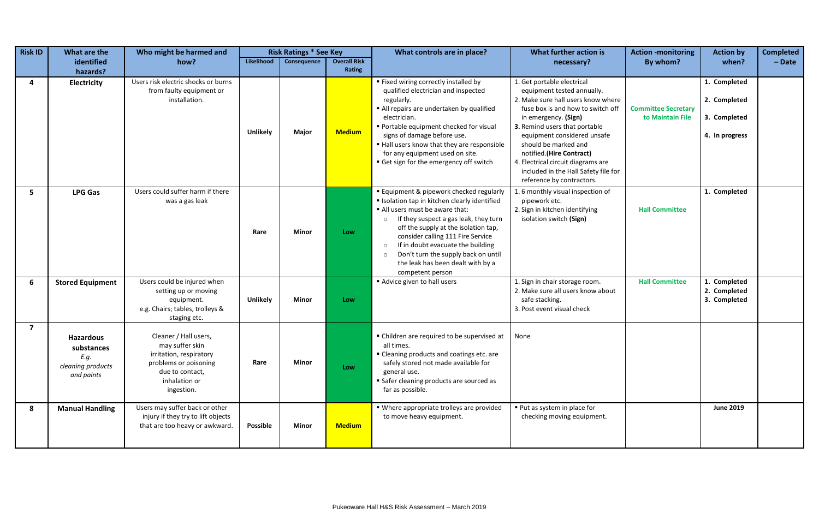| <b>Risk ID</b> | What are the                                                              | Who might be harmed and                                                                                                                        |                 | <b>Risk Ratings * See Key</b> |                     | What controls are in place?                                                                                                                                                                                                                                                                                                                                                                                          | What further action is                                                                                                                                                                                                                                                                                                                                                                     | <b>Action -monitoring</b>                      | <b>Action by</b>                                               | <b>Completed</b> |
|----------------|---------------------------------------------------------------------------|------------------------------------------------------------------------------------------------------------------------------------------------|-----------------|-------------------------------|---------------------|----------------------------------------------------------------------------------------------------------------------------------------------------------------------------------------------------------------------------------------------------------------------------------------------------------------------------------------------------------------------------------------------------------------------|--------------------------------------------------------------------------------------------------------------------------------------------------------------------------------------------------------------------------------------------------------------------------------------------------------------------------------------------------------------------------------------------|------------------------------------------------|----------------------------------------------------------------|------------------|
|                | identified                                                                | how?                                                                                                                                           | Likelihood      | Consequence                   | <b>Overall Risk</b> |                                                                                                                                                                                                                                                                                                                                                                                                                      | necessary?                                                                                                                                                                                                                                                                                                                                                                                 | By whom?                                       | when?                                                          | $-$ Date         |
|                | hazards?                                                                  |                                                                                                                                                |                 |                               | Rating              |                                                                                                                                                                                                                                                                                                                                                                                                                      |                                                                                                                                                                                                                                                                                                                                                                                            |                                                |                                                                |                  |
| 4              | Electricity                                                               | Users risk electric shocks or burns<br>from faulty equipment or<br>installation.                                                               | <b>Unlikelv</b> | Major                         | <b>Medium</b>       | " Fixed wiring correctly installed by<br>qualified electrician and inspected<br>regularly.<br>All repairs are undertaken by qualified<br>electrician.<br>Portable equipment checked for visual<br>signs of damage before use.<br>Hall users know that they are responsible<br>for any equipment used on site.<br>Get sign for the emergency off switch                                                               | 1. Get portable electrical<br>equipment tested annually.<br>2. Make sure hall users know where<br>fuse box is and how to switch off<br>in emergency. (Sign)<br>3. Remind users that portable<br>equipment considered unsafe<br>should be marked and<br>notified.(Hire Contract)<br>4. Electrical circuit diagrams are<br>included in the Hall Safety file for<br>reference by contractors. | <b>Committee Secretary</b><br>to Maintain File | 1. Completed<br>2. Completed<br>3. Completed<br>4. In progress |                  |
| 5              | <b>LPG Gas</b>                                                            | Users could suffer harm if there<br>was a gas leak                                                                                             | Rare            | <b>Minor</b>                  | Low                 | ■ Equipment & pipework checked regularly<br>Isolation tap in kitchen clearly identified<br>All users must be aware that:<br>If they suspect a gas leak, they turn<br>$\circ$<br>off the supply at the isolation tap,<br>consider calling 111 Fire Service<br>If in doubt evacuate the building<br>$\circ$<br>Don't turn the supply back on until<br>$\circ$<br>the leak has been dealt with by a<br>competent person | 1.6 monthly visual inspection of<br>pipework etc.<br>2. Sign in kitchen identifying<br>isolation switch (Sign)                                                                                                                                                                                                                                                                             | <b>Hall Committee</b>                          | 1. Completed                                                   |                  |
| 6              | <b>Stored Equipment</b>                                                   | Users could be injured when<br>setting up or moving<br>equipment.<br>e.g. Chairs; tables, trolleys &<br>staging etc.                           | Unlikely        | <b>Minor</b>                  | Low                 | Advice given to hall users                                                                                                                                                                                                                                                                                                                                                                                           | 1. Sign in chair storage room.<br>2. Make sure all users know about<br>safe stacking.<br>3. Post event visual check                                                                                                                                                                                                                                                                        | <b>Hall Committee</b>                          | 1. Completed<br>2. Completed<br>3. Completed                   |                  |
| $\overline{7}$ | <b>Hazardous</b><br>substances<br>E.g.<br>cleaning products<br>and paints | Cleaner / Hall users,<br>may suffer skin<br>irritation, respiratory<br>problems or poisoning<br>due to contact,<br>inhalation or<br>ingestion. | Rare            | <b>Minor</b>                  | Low                 | • Children are required to be supervised at<br>all times.<br>" Cleaning products and coatings etc. are<br>safely stored not made available for<br>general use.<br>• Safer cleaning products are sourced as<br>far as possible.                                                                                                                                                                                       | None                                                                                                                                                                                                                                                                                                                                                                                       |                                                |                                                                |                  |
| 8              | <b>Manual Handling</b>                                                    | Users may suffer back or other<br>injury if they try to lift objects<br>that are too heavy or awkward.                                         | Possible        | <b>Minor</b>                  | <b>Medium</b>       | • Where appropriate trolleys are provided<br>to move heavy equipment.                                                                                                                                                                                                                                                                                                                                                | ■ Put as system in place for<br>checking moving equipment.                                                                                                                                                                                                                                                                                                                                 |                                                | <b>June 2019</b>                                               |                  |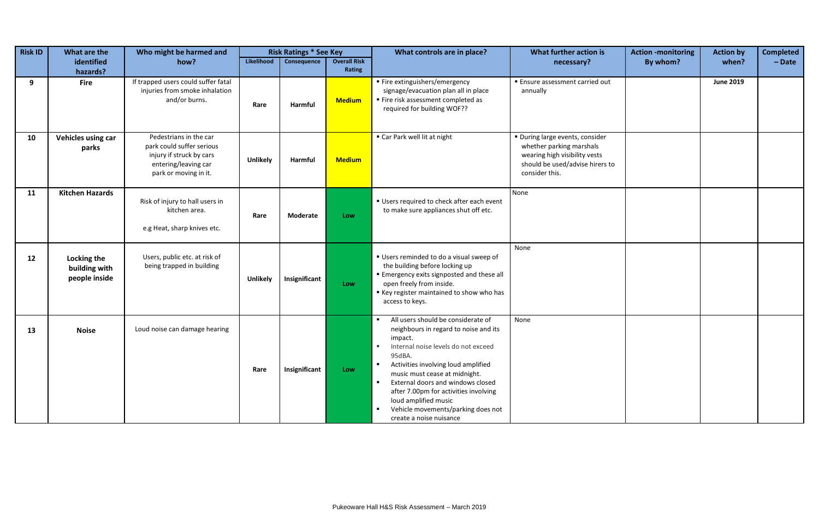| Risk ID | What are the                                  | Who might be harmed and                                                                                                          |                 | <b>Risk Ratings * See Key</b> |                                               | What controls are in place?                                                                                                                                                                                                                                                                                                                                                                                                                                                      | What further action is                                                                                                                            | <b>Action -monitoring</b> | <b>Action by</b> | <b>Completed</b> |
|---------|-----------------------------------------------|----------------------------------------------------------------------------------------------------------------------------------|-----------------|-------------------------------|-----------------------------------------------|----------------------------------------------------------------------------------------------------------------------------------------------------------------------------------------------------------------------------------------------------------------------------------------------------------------------------------------------------------------------------------------------------------------------------------------------------------------------------------|---------------------------------------------------------------------------------------------------------------------------------------------------|---------------------------|------------------|------------------|
|         | identified<br>hazards?                        | how?                                                                                                                             | Likelihood      | Consequence                   | <b>Overall Risk</b><br>Rating                 |                                                                                                                                                                                                                                                                                                                                                                                                                                                                                  | necessary?                                                                                                                                        | By whom?                  | when?            | $-$ Date         |
| 9       | <b>Fire</b>                                   | If trapped users could suffer fatal<br>injuries from smoke inhalation<br>and/or burns.                                           | Rare            | <b>Harmful</b>                | <b>Medium</b>                                 | ■ Fire extinguishers/emergency<br>signage/evacuation plan all in place<br>■ Fire risk assessment completed as<br>required for building WOF??                                                                                                                                                                                                                                                                                                                                     | <b>Ensure assessment carried out</b><br>annually                                                                                                  |                           | <b>June 2019</b> |                  |
| 10      | Vehicles using car<br>parks                   | Pedestrians in the car<br>park could suffer serious<br>injury if struck by cars<br>entering/leaving car<br>park or moving in it. | <b>Unlikely</b> | Harmful                       | ■ Car Park well lit at night<br><b>Medium</b> |                                                                                                                                                                                                                                                                                                                                                                                                                                                                                  | · During large events, consider<br>whether parking marshals<br>wearing high visibility vests<br>should be used/advise hirers to<br>consider this. |                           |                  |                  |
| 11      | <b>Kitchen Hazards</b>                        | Risk of injury to hall users in<br>kitchen area.<br>e.g Heat, sharp knives etc.                                                  | Rare            | Moderate                      | Low                                           | Users required to check after each event<br>to make sure appliances shut off etc.                                                                                                                                                                                                                                                                                                                                                                                                | None                                                                                                                                              |                           |                  |                  |
| 12      | Locking the<br>building with<br>people inside | Users, public etc. at risk of<br>being trapped in building                                                                       | <b>Unlikely</b> | Insignificant                 | Low                                           | Users reminded to do a visual sweep of<br>the building before locking up<br>Emergency exits signposted and these all<br>open freely from inside.<br>Key register maintained to show who has<br>access to keys.                                                                                                                                                                                                                                                                   | None                                                                                                                                              |                           |                  |                  |
| 13      | <b>Noise</b>                                  | Loud noise can damage hearing                                                                                                    | Rare            | Insignificant                 | Low                                           | All users should be considerate of<br>$\blacksquare$<br>neighbours in regard to noise and its<br>impact.<br>Internal noise levels do not exceed<br>$\mathbf{u}$ .<br>95dBA.<br>Activities involving loud amplified<br>$\mathbf{H}$ .<br>music must cease at midnight.<br>External doors and windows closed<br>$\blacksquare$<br>after 7.00pm for activities involving<br>loud amplified music<br>Vehicle movements/parking does not<br>$\blacksquare$<br>create a noise nuisance | None                                                                                                                                              |                           |                  |                  |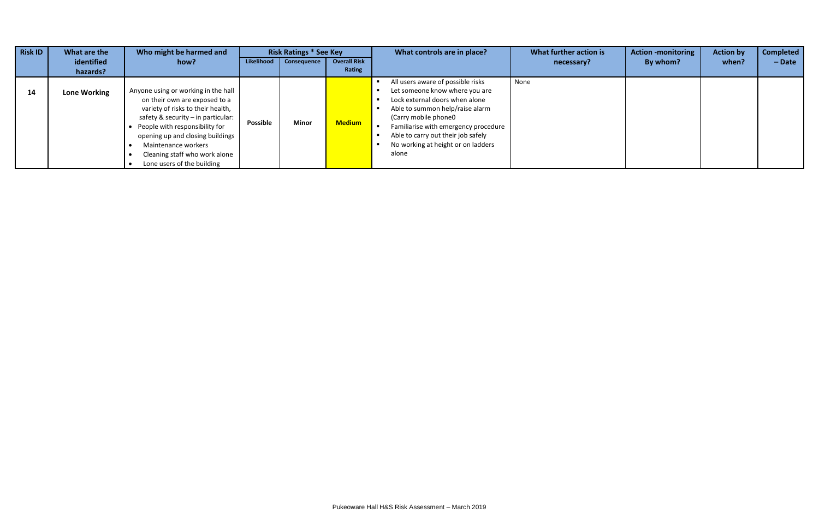| <b>Risk ID</b> | What are the        | Who might be harmed and                                                                                                                                                                                                                                                                                       |            | <b>Risk Ratings * See Key</b> |                     | What controls are in place?                                                                                                                                                                                                                                                                    | What further action is | <b>Action -monitoring</b> | <b>Action by</b> | <b>Completed</b> |
|----------------|---------------------|---------------------------------------------------------------------------------------------------------------------------------------------------------------------------------------------------------------------------------------------------------------------------------------------------------------|------------|-------------------------------|---------------------|------------------------------------------------------------------------------------------------------------------------------------------------------------------------------------------------------------------------------------------------------------------------------------------------|------------------------|---------------------------|------------------|------------------|
|                | identified          | how?                                                                                                                                                                                                                                                                                                          | Likelihood | Consequence                   | <b>Overall Risk</b> |                                                                                                                                                                                                                                                                                                | necessary?             | By whom?                  | when?            | $-$ Date         |
|                | hazards?            |                                                                                                                                                                                                                                                                                                               |            |                               | Rating              |                                                                                                                                                                                                                                                                                                |                        |                           |                  |                  |
| 14             | <b>Lone Working</b> | Anyone using or working in the hall<br>on their own are exposed to a<br>variety of risks to their health,<br>safety & security $-$ in particular:<br>People with responsibility for<br>opening up and closing buildings<br>Maintenance workers<br>Cleaning staff who work alone<br>Lone users of the building | Possible   | <b>Minor</b>                  | <b>Medium</b>       | All users aware of possible risks<br>Let someone know where you are<br>Lock external doors when alone<br>Able to summon help/raise alarm<br>(Carry mobile phone0)<br>Familiarise with emergency procedure<br>Able to carry out their job safely<br>No working at height or on ladders<br>alone | None                   |                           |                  |                  |